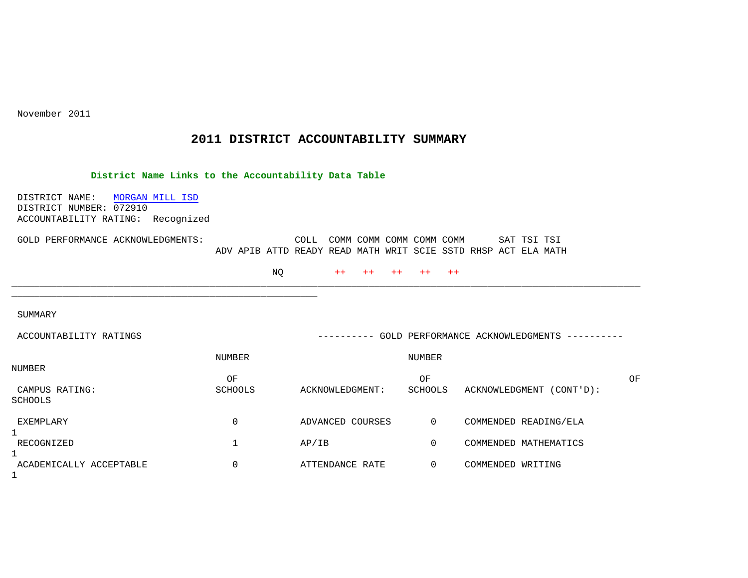November 2011

## **2011 DISTRICT ACCOUNTABILITY SUMMARY**

## **District Name Links to the Accountability Data Table**

 DISTRICT NAME: MORGAN MILL ISD DISTRICT NUMBER: 072910 ACCOUNTABILITY RATING: Recognized

\_\_\_\_\_\_\_\_\_\_\_\_\_\_\_\_\_\_\_\_\_\_\_\_\_\_\_\_\_\_\_\_\_\_\_\_\_\_\_\_\_\_\_\_\_\_\_\_\_\_\_\_\_\_

| GOLD PERFORMANCE ACKNOWLEDGMENTS: |  | COLL COMM COMM COMM COMM COMM                                  |  |  |  | SAT TSI TSI |  |
|-----------------------------------|--|----------------------------------------------------------------|--|--|--|-------------|--|
|                                   |  | ADV APIB ATTD READY READ MATH WRIT SCIE SSTD RHSP ACT ELA MATH |  |  |  |             |  |

NQ ++ ++ ++ ++ ++

SUMMARY

| ACCOUNTABILITY RATINGS              |                      | ----------       |               | GOLD PERFORMANCE ACKNOWLEDGMENTS<br>----------- |    |
|-------------------------------------|----------------------|------------------|---------------|-------------------------------------------------|----|
|                                     | NUMBER               |                  | NUMBER        |                                                 |    |
| NUMBER<br>CAMPUS RATING:<br>SCHOOLS | ΟF<br><b>SCHOOLS</b> | ACKNOWLEDGMENT:  | ΟF<br>SCHOOLS | ACKNOWLEDGMENT<br>$(CONT'D)$ :                  | ΟF |
| EXEMPLARY                           | 0                    | ADVANCED COURSES | $\Omega$      | COMMENDED READING/ELA                           |    |
| RECOGNIZED                          |                      | AP/IB            |               | COMMENDED MATHEMATICS                           |    |
| ACADEMICALLY ACCEPTABLE             | 0                    | ATTENDANCE RATE  | 0             | COMMENDED WRITING                               |    |

\_\_\_\_\_\_\_\_\_\_\_\_\_\_\_\_\_\_\_\_\_\_\_\_\_\_\_\_\_\_\_\_\_\_\_\_\_\_\_\_\_\_\_\_\_\_\_\_\_\_\_\_\_\_\_\_\_\_\_\_\_\_\_\_\_\_\_\_\_\_\_\_\_\_\_\_\_\_\_\_\_\_\_\_\_\_\_\_\_\_\_\_\_\_\_\_\_\_\_\_\_\_\_\_\_\_\_\_\_\_\_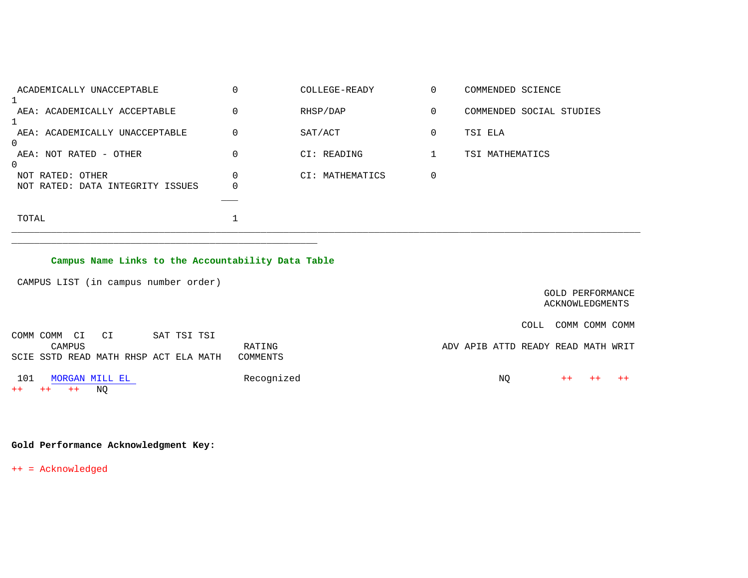| ACADEMICALLY UNACCEPTABLE           |             | COLLEGE-READY   | 0           | COMMENDED SCIENCE        |
|-------------------------------------|-------------|-----------------|-------------|--------------------------|
| AEA: ACADEMICALLY ACCEPTABLE        | 0           | RHSP/DAP        | 0           | COMMENDED SOCIAL STUDIES |
| AEA: ACADEMICALLY UNACCEPTABLE<br>0 | 0           | SAT/ACT         | $\mathbf 0$ | TSI ELA                  |
| AEA: NOT RATED - OTHER<br>0         | 0           | CI: READING     |             | TSI MATHEMATICS          |
| NOT RATED: OTHER                    | 0           | CI: MATHEMATICS | $\mathbf 0$ |                          |
| NOT RATED: DATA INTEGRITY ISSUES    | $\mathbf 0$ |                 |             |                          |
| TOTAL                               |             |                 |             |                          |

## **Campus Name Links to the Accountability Data Table**

\_\_\_\_\_\_\_\_\_\_\_\_\_\_\_\_\_\_\_\_\_\_\_\_\_\_\_\_\_\_\_\_\_\_\_\_\_\_\_\_\_\_\_\_\_\_\_\_\_\_\_\_\_\_

CAMPUS LIST (in campus number order)

| GOLD PERFORMANCE<br>ACKNOWLEDGMENTS |
|-------------------------------------|
| COMM COMM COMM<br>COLL              |
| ADV APIB ATTD READY READ MATH WRIT  |
|                                     |
| ΝQ<br>$++$<br>$++$                  |
|                                     |

## **Gold Performance Acknowledgment Key:**

++ = Acknowledged